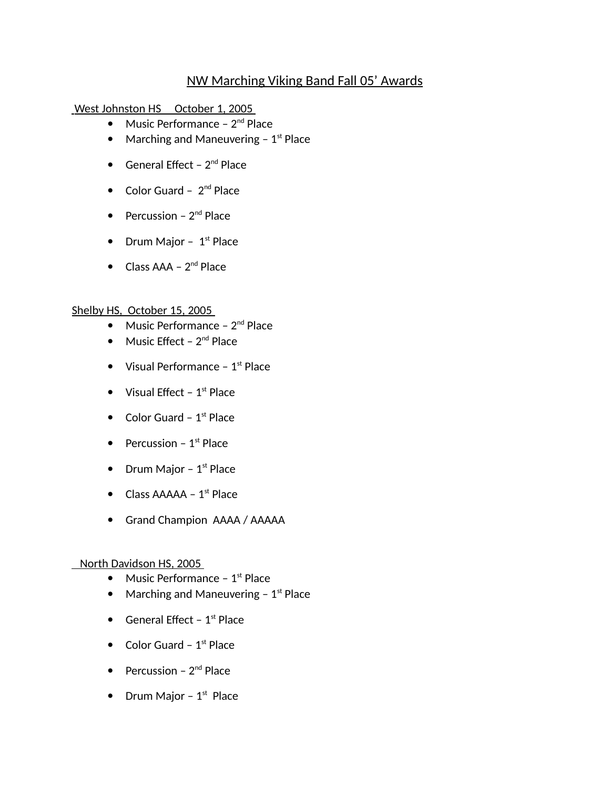## NW Marching Viking Band Fall 05' Awards

West Johnston HS October 1, 2005

- Music Performance  $2^{nd}$  Place
- Marching and Maneuvering  $-1$ <sup>st</sup> Place
- General Effect  $2^{nd}$  Place
- $\bullet$  Color Guard  $2^{nd}$  Place
- Percussion  $2^{nd}$  Place
- Drum Major  $1<sup>st</sup>$  Place
- $\bullet$  Class AAA  $2^{nd}$  Place

## Shelby HS, October 15, 2005

- $\bullet$  Music Performance  $2^{nd}$  Place
- $\bullet$  Music Effect 2<sup>nd</sup> Place
- Visual Performance  $1<sup>st</sup>$  Place
- $\bullet$  Visual Effect 1<sup>st</sup> Place
- $\bullet$  Color Guard 1<sup>st</sup> Place
- Percussion  $1<sup>st</sup>$  Place
- Drum Major  $1<sup>st</sup>$  Place
- $\bullet$  Class AAAAA 1<sup>st</sup> Place
- Grand Champion AAAA / AAAAA

## North Davidson HS, 2005

- $\bullet$  Music Performance 1<sup>st</sup> Place
- Marching and Maneuvering  $-1$ <sup>st</sup> Place
- General Effect  $1<sup>st</sup>$  Place
- Color Guard  $1<sup>st</sup>$  Place
- Percussion  $2<sup>nd</sup>$  Place
- Drum Major  $1<sup>st</sup>$  Place